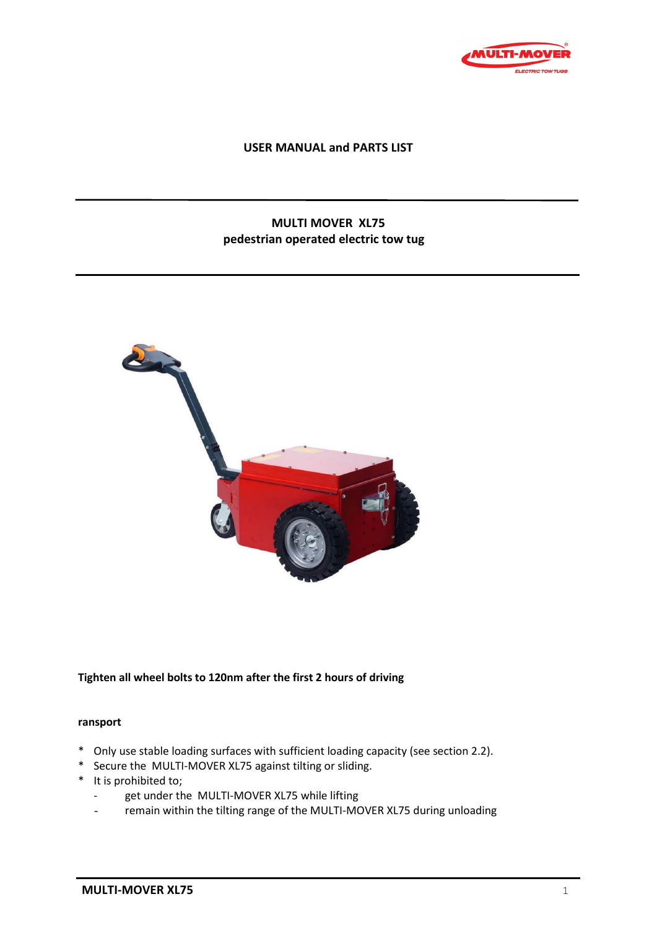

## **USER MANUAL and PARTS LIST**

# **MULTI MOVER XL75 pedestrian operated electric tow tug**



### **Tighten all wheel bolts to 120nm after the first 2 hours of driving**

#### **ransport**

- \* Only use stable loading surfaces with sufficient loading capacity (see section 2.2).
- \* Secure the MULTI-MOVER XL75 against tilting or sliding.
- \* It is prohibited to;
	- get under the MULTI-MOVER XL75 while lifting
	- remain within the tilting range of the MULTI-MOVER XL75 during unloading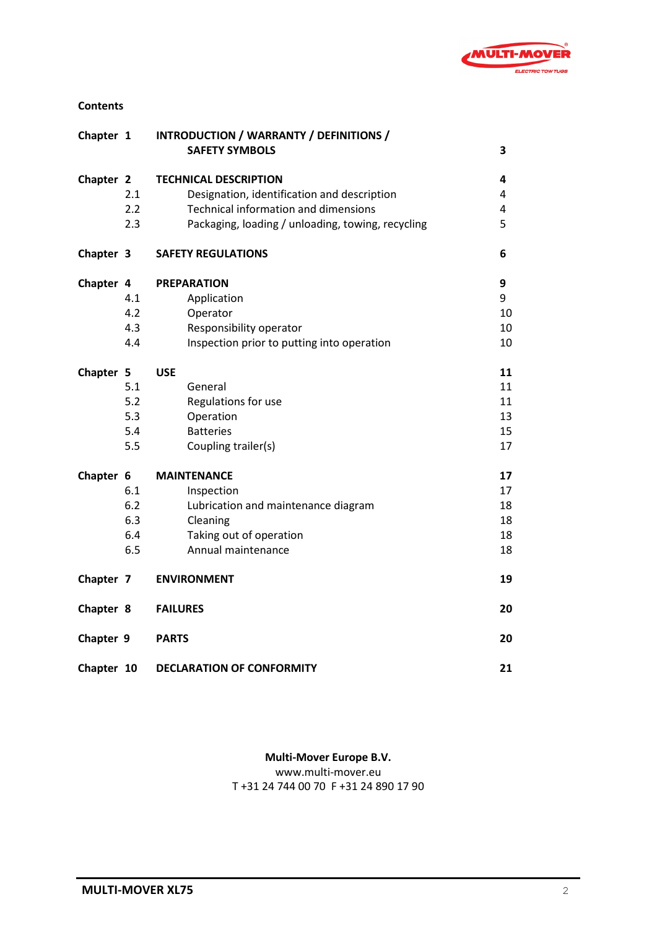

## **Contents**

| Chapter 1  |     | INTRODUCTION / WARRANTY / DEFINITIONS /           |    |
|------------|-----|---------------------------------------------------|----|
|            |     | <b>SAFETY SYMBOLS</b>                             | 3  |
| Chapter 2  |     | <b>TECHNICAL DESCRIPTION</b>                      | 4  |
|            | 2.1 | Designation, identification and description       | 4  |
|            | 2.2 | <b>Technical information and dimensions</b>       | 4  |
|            | 2.3 | Packaging, loading / unloading, towing, recycling | 5  |
| Chapter 3  |     | <b>SAFETY REGULATIONS</b>                         | 6  |
| Chapter 4  |     | <b>PREPARATION</b>                                | 9  |
|            | 4.1 | Application                                       | 9  |
|            | 4.2 | Operator                                          | 10 |
|            | 4.3 | Responsibility operator                           | 10 |
|            | 4.4 | Inspection prior to putting into operation        | 10 |
| Chapter 5  |     | <b>USE</b>                                        | 11 |
|            | 5.1 | General                                           | 11 |
|            | 5.2 | Regulations for use                               | 11 |
|            | 5.3 | Operation                                         | 13 |
|            | 5.4 | <b>Batteries</b>                                  | 15 |
|            | 5.5 | Coupling trailer(s)                               | 17 |
| Chapter 6  |     | <b>MAINTENANCE</b>                                | 17 |
|            | 6.1 | Inspection                                        | 17 |
|            | 6.2 | Lubrication and maintenance diagram               | 18 |
|            | 6.3 | Cleaning                                          | 18 |
|            | 6.4 | Taking out of operation                           | 18 |
|            | 6.5 | Annual maintenance                                | 18 |
| Chapter 7  |     | <b>ENVIRONMENT</b>                                | 19 |
| Chapter 8  |     | <b>FAILURES</b>                                   | 20 |
| Chapter 9  |     | <b>PARTS</b>                                      | 20 |
| Chapter 10 |     | <b>DECLARATION OF CONFORMITY</b>                  | 21 |

# **Multi-Mover Europe B.V.**

www.multi-mover.eu

T +31 24 744 00 70 F +31 24 890 17 90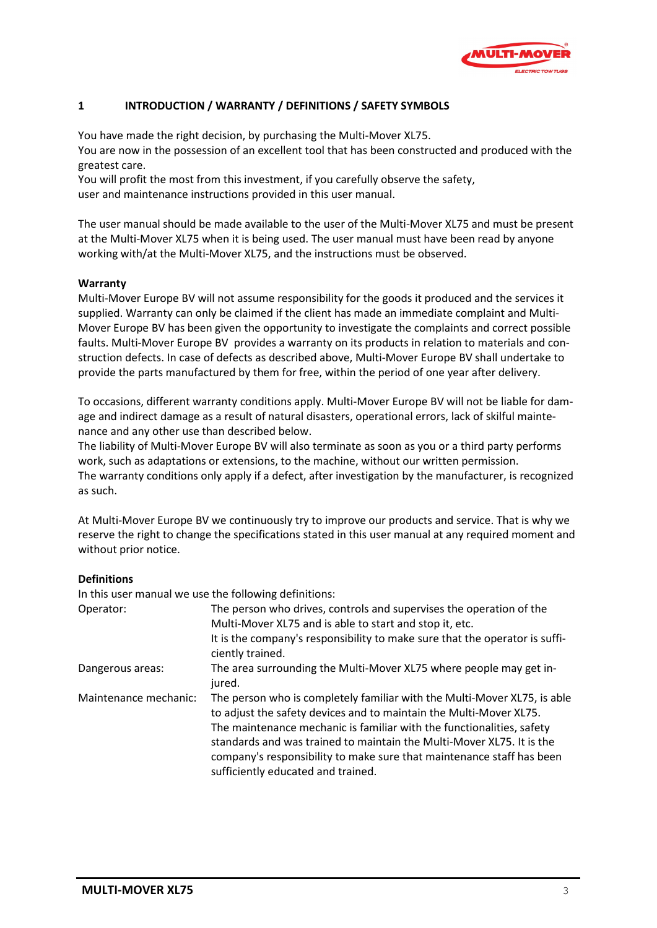

# **1 INTRODUCTION / WARRANTY / DEFINITIONS / SAFETY SYMBOLS**

You have made the right decision, by purchasing the Multi-Mover XL75. You are now in the possession of an excellent tool that has been constructed and produced with the greatest care.

You will profit the most from this investment, if you carefully observe the safety, user and maintenance instructions provided in this user manual.

The user manual should be made available to the user of the Multi-Mover XL75 and must be present at the Multi-Mover XL75 when it is being used. The user manual must have been read by anyone working with/at the Multi-Mover XL75, and the instructions must be observed.

## **Warranty**

Multi-Mover Europe BV will not assume responsibility for the goods it produced and the services it supplied. Warranty can only be claimed if the client has made an immediate complaint and Multi-Mover Europe BV has been given the opportunity to investigate the complaints and correct possible faults. Multi-Mover Europe BV provides a warranty on its products in relation to materials and construction defects. In case of defects as described above, Multi-Mover Europe BV shall undertake to provide the parts manufactured by them for free, within the period of one year after delivery.

To occasions, different warranty conditions apply. Multi-Mover Europe BV will not be liable for damage and indirect damage as a result of natural disasters, operational errors, lack of skilful maintenance and any other use than described below.

The liability of Multi-Mover Europe BV will also terminate as soon as you or a third party performs work, such as adaptations or extensions, to the machine, without our written permission. The warranty conditions only apply if a defect, after investigation by the manufacturer, is recognized as such.

At Multi-Mover Europe BV we continuously try to improve our products and service. That is why we reserve the right to change the specifications stated in this user manual at any required moment and without prior notice.

### **Definitions**

In this user manual we use the following definitions:

| Operator:             | The person who drives, controls and supervises the operation of the                                                                                                                                                                                                                                                                                                                                             |
|-----------------------|-----------------------------------------------------------------------------------------------------------------------------------------------------------------------------------------------------------------------------------------------------------------------------------------------------------------------------------------------------------------------------------------------------------------|
|                       | Multi-Mover XL75 and is able to start and stop it, etc.                                                                                                                                                                                                                                                                                                                                                         |
|                       | It is the company's responsibility to make sure that the operator is suffi-<br>ciently trained.                                                                                                                                                                                                                                                                                                                 |
| Dangerous areas:      | The area surrounding the Multi-Mover XL75 where people may get in-<br>jured.                                                                                                                                                                                                                                                                                                                                    |
| Maintenance mechanic: | The person who is completely familiar with the Multi-Mover XL75, is able<br>to adjust the safety devices and to maintain the Multi-Mover XL75.<br>The maintenance mechanic is familiar with the functionalities, safety<br>standards and was trained to maintain the Multi-Mover XL75. It is the<br>company's responsibility to make sure that maintenance staff has been<br>sufficiently educated and trained. |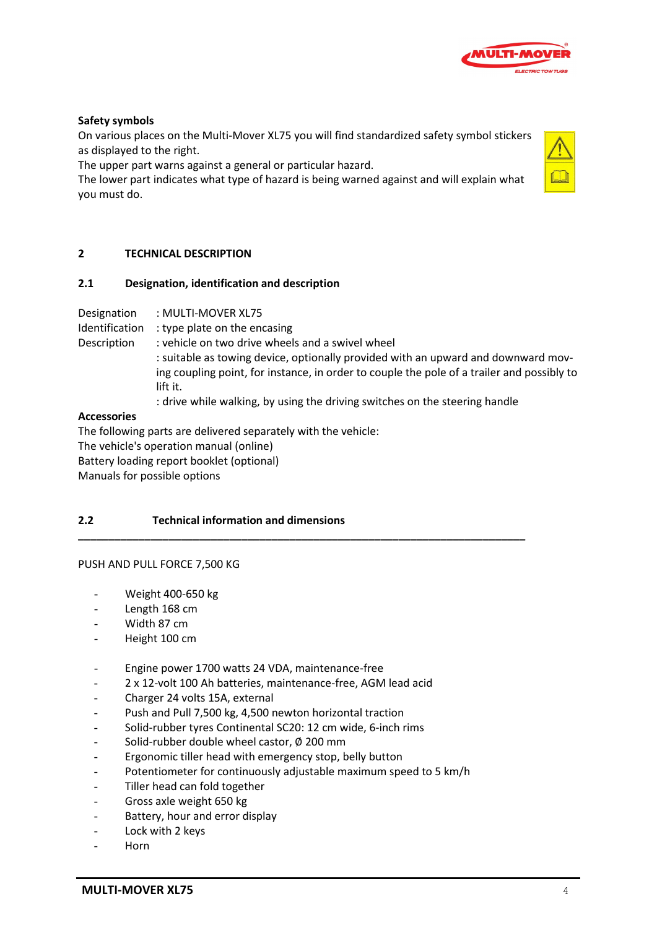

## **Safety symbols**

On various places on the Multi-Mover XL75 you will find standardized safety symbol stickers as displayed to the right.

The upper part warns against a general or particular hazard.

The lower part indicates what type of hazard is being warned against and will explain what you must do.

## **2 TECHNICAL DESCRIPTION**

### **2.1 Designation, identification and description**

Designation : MULTI-MOVER XL75

Identification : type plate on the encasing

Description : vehicle on two drive wheels and a swivel wheel

: suitable as towing device, optionally provided with an upward and downward moving coupling point, for instance, in order to couple the pole of a trailer and possibly to lift it.

: drive while walking, by using the driving switches on the steering handle

**\_\_\_\_\_\_\_\_\_\_\_\_\_\_\_\_\_\_\_\_\_\_\_\_\_\_\_\_\_\_\_\_\_\_\_\_\_\_\_\_\_\_\_\_\_\_\_\_\_\_\_\_\_\_\_\_\_\_\_\_\_\_\_\_\_\_\_\_\_\_\_\_\_\_**

### **Accessories**

The following parts are delivered separately with the vehicle: The vehicle's operation manual (online) Battery loading report booklet (optional) Manuals for possible options

# **2.2 Technical information and dimensions**

### PUSH AND PULL FORCE 7,500 KG

- Weight 400-650 kg
- Length 168 cm
- Width 87 cm
- Height 100 cm
- Engine power 1700 watts 24 VDA, maintenance-free
- 2 x 12-volt 100 Ah batteries, maintenance-free, AGM lead acid
- Charger 24 volts 15A, external
- Push and Pull 7,500 kg, 4,500 newton horizontal traction
- Solid-rubber tyres Continental SC20: 12 cm wide, 6-inch rims
- Solid-rubber double wheel castor,  $\varnothing$  200 mm
- Ergonomic tiller head with emergency stop, belly button
- Potentiometer for continuously adjustable maximum speed to 5 km/h
- Tiller head can fold together
- Gross axle weight 650 kg
- Battery, hour and error display
- Lock with 2 keys
- Horn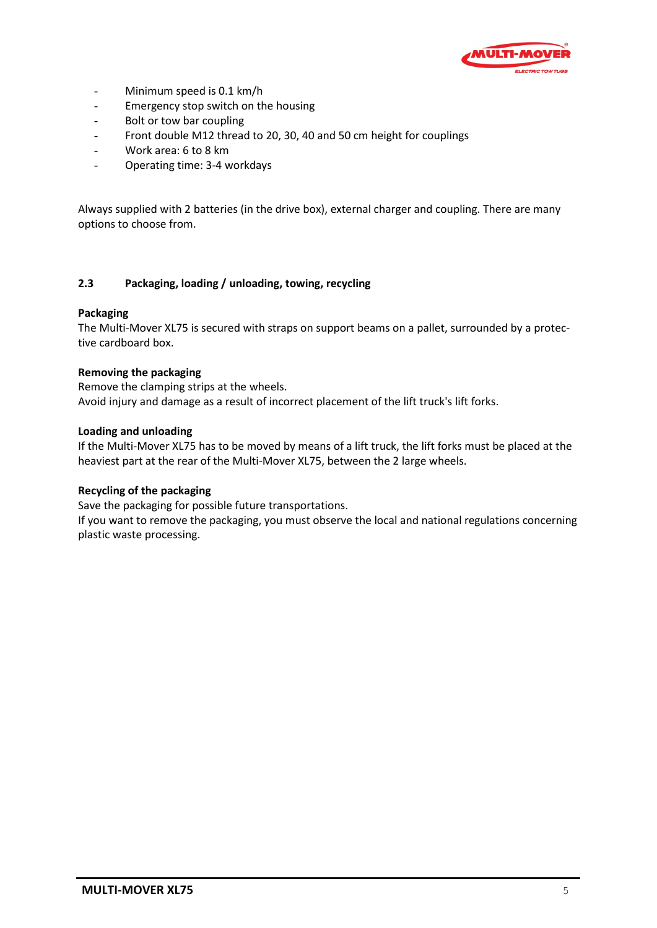

- Minimum speed is 0.1 km/h
- Emergency stop switch on the housing
- Bolt or tow bar coupling
- Front double M12 thread to 20, 30, 40 and 50 cm height for couplings
- Work area: 6 to 8 km
- Operating time: 3-4 workdays

Always supplied with 2 batteries (in the drive box), external charger and coupling. There are many options to choose from.

## **2.3 Packaging, loading / unloading, towing, recycling**

### **Packaging**

The Multi-Mover XL75 is secured with straps on support beams on a pallet, surrounded by a protective cardboard box.

## **Removing the packaging**

Remove the clamping strips at the wheels. Avoid injury and damage as a result of incorrect placement of the lift truck's lift forks.

### **Loading and unloading**

If the Multi-Mover XL75 has to be moved by means of a lift truck, the lift forks must be placed at the heaviest part at the rear of the Multi-Mover XL75, between the 2 large wheels.

### **Recycling of the packaging**

Save the packaging for possible future transportations.

If you want to remove the packaging, you must observe the local and national regulations concerning plastic waste processing.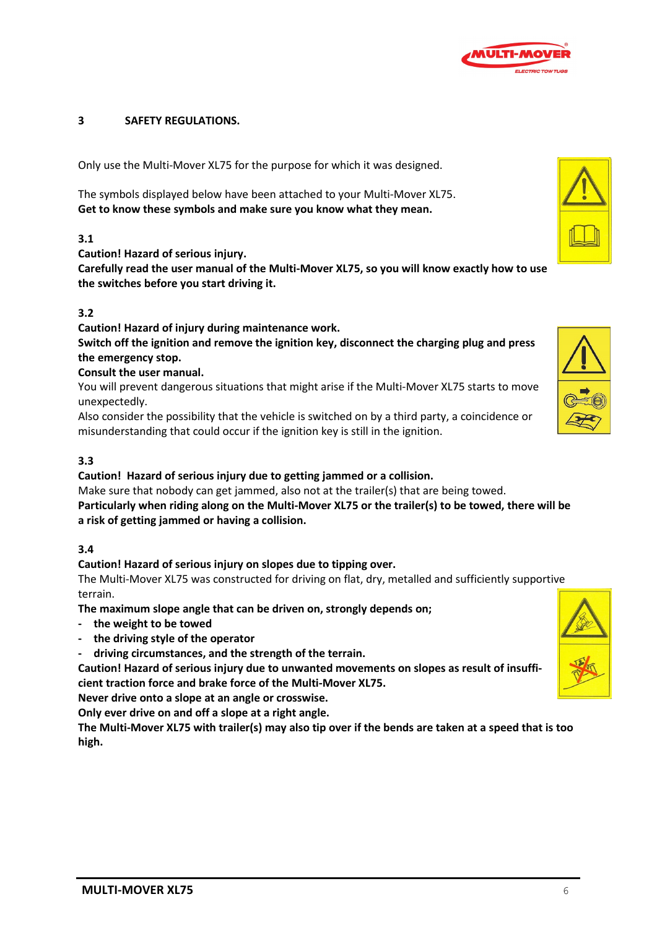

## **3 SAFETY REGULATIONS.**

Only use the Multi-Mover XL75 for the purpose for which it was designed.

The symbols displayed below have been attached to your Multi-Mover XL75. **Get to know these symbols and make sure you know what they mean.**

## **3.1**

**Caution! Hazard of serious injury.** 

**Carefully read the user manual of the Multi-Mover XL75, so you will know exactly how to use the switches before you start driving it.**

# **3.2**

**Caution! Hazard of injury during maintenance work.**

**Switch off the ignition and remove the ignition key, disconnect the charging plug and press the emergency stop.**

## **Consult the user manual.**

You will prevent dangerous situations that might arise if the Multi-Mover XL75 starts to move unexpectedly.

Also consider the possibility that the vehicle is switched on by a third party, a coincidence or misunderstanding that could occur if the ignition key is still in the ignition.

# **3.3**

**Caution! Hazard of serious injury due to getting jammed or a collision.**

Make sure that nobody can get jammed, also not at the trailer(s) that are being towed. **Particularly when riding along on the Multi-Mover XL75 or the trailer(s) to be towed, there will be a risk of getting jammed or having a collision.**

### **3.4**

**Caution! Hazard of serious injury on slopes due to tipping over.**

The Multi-Mover XL75 was constructed for driving on flat, dry, metalled and sufficiently supportive terrain.

**The maximum slope angle that can be driven on, strongly depends on;** 

- **- the weight to be towed**
- **- the driving style of the operator**
- **driving circumstances, and the strength of the terrain.**

**Caution! Hazard of serious injury due to unwanted movements on slopes as result of insufficient traction force and brake force of the Multi-Mover XL75.**

**Never drive onto a slope at an angle or crosswise.**

**Only ever drive on and off a slope at a right angle.**

**The Multi-Mover XL75 with trailer(s) may also tip over if the bends are taken at a speed that is too high.**



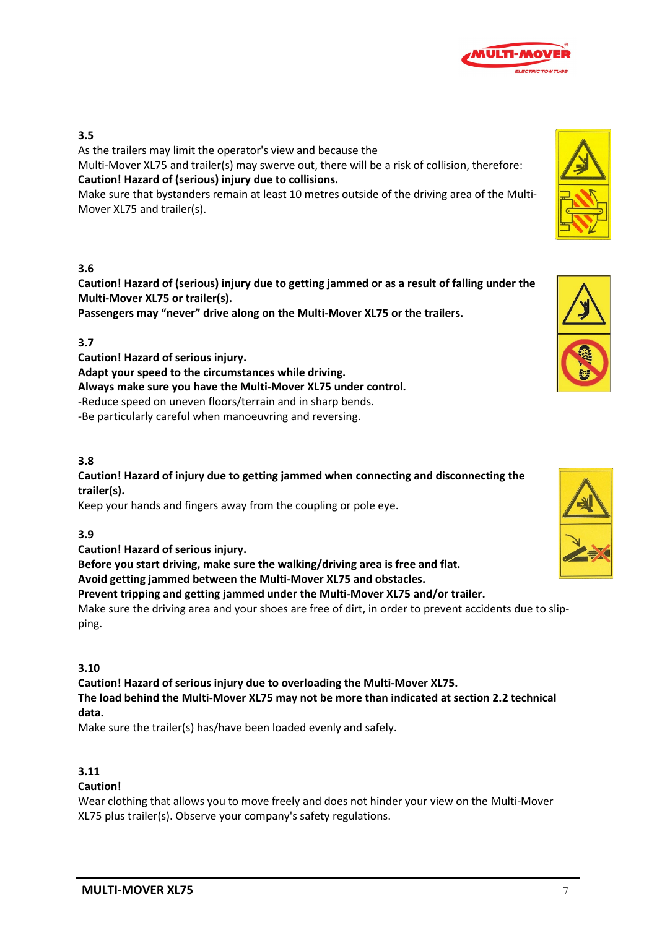

# **3.5**

As the trailers may limit the operator's view and because the

Multi-Mover XL75 and trailer(s) may swerve out, there will be a risk of collision, therefore: **Caution! Hazard of (serious) injury due to collisions.** 

Make sure that bystanders remain at least 10 metres outside of the driving area of the Multi-Mover XL75 and trailer(s).

# **3.6**

**Caution! Hazard of (serious) injury due to getting jammed or as a result of falling under the Multi-Mover XL75 or trailer(s).**

**Passengers may "never" drive along on the Multi-Mover XL75 or the trailers.**

# **3.7**

**Caution! Hazard of serious injury. Adapt your speed to the circumstances while driving. Always make sure you have the Multi-Mover XL75 under control.** -Reduce speed on uneven floors/terrain and in sharp bends. -Be particularly careful when manoeuvring and reversing.

# **3.8**

**Caution! Hazard of injury due to getting jammed when connecting and disconnecting the trailer(s).**

Keep your hands and fingers away from the coupling or pole eye.

# **3.9**

### **Caution! Hazard of serious injury.**

**Before you start driving, make sure the walking/driving area is free and flat. Avoid getting jammed between the Multi-Mover XL75 and obstacles.**

**Prevent tripping and getting jammed under the Multi-Mover XL75 and/or trailer.**

Make sure the driving area and your shoes are free of dirt, in order to prevent accidents due to slipping.

### **3.10**

**Caution! Hazard of serious injury due to overloading the Multi-Mover XL75. The load behind the Multi-Mover XL75 may not be more than indicated at section 2.2 technical data.**

Make sure the trailer(s) has/have been loaded evenly and safely.

# **3.11**

## **Caution!**

Wear clothing that allows you to move freely and does not hinder your view on the Multi-Mover XL75 plus trailer(s). Observe your company's safety regulations.





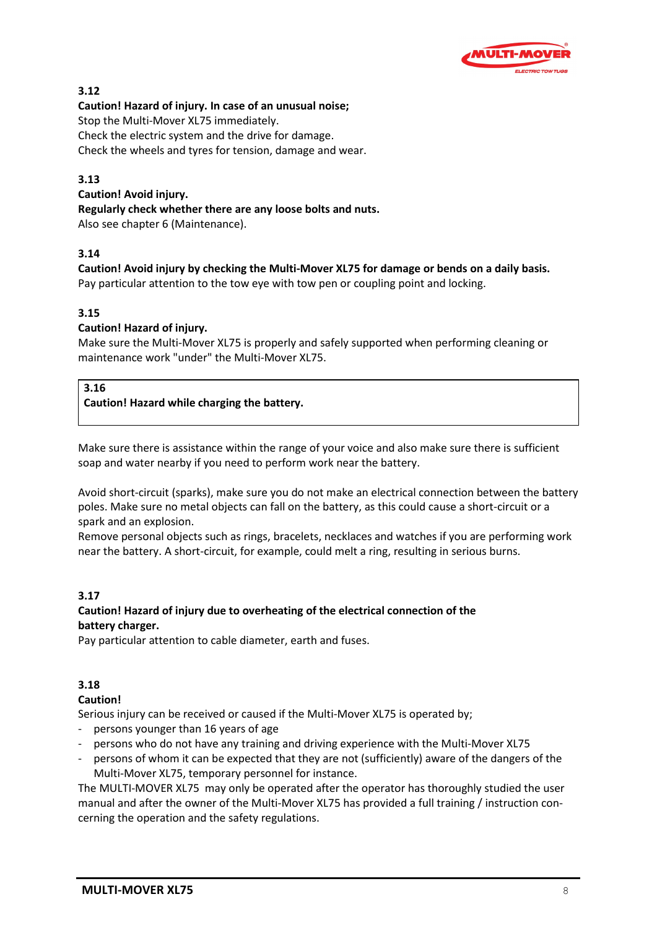

# **3.12**

## **Caution! Hazard of injury. In case of an unusual noise;**

Stop the Multi-Mover XL75 immediately.

Check the electric system and the drive for damage.

Check the wheels and tyres for tension, damage and wear.

# **3.13**

**Caution! Avoid injury. Regularly check whether there are any loose bolts and nuts.** Also see chapter 6 (Maintenance).

# **3.14**

**Caution! Avoid injury by checking the Multi-Mover XL75 for damage or bends on a daily basis.** Pay particular attention to the tow eye with tow pen or coupling point and locking.

# **3.15**

# **Caution! Hazard of injury.**

Make sure the Multi-Mover XL75 is properly and safely supported when performing cleaning or maintenance work "under" the Multi-Mover XL75.

## **3.16**

# **Caution! Hazard while charging the battery.**

Make sure there is assistance within the range of your voice and also make sure there is sufficient soap and water nearby if you need to perform work near the battery.

Avoid short-circuit (sparks), make sure you do not make an electrical connection between the battery poles. Make sure no metal objects can fall on the battery, as this could cause a short-circuit or a spark and an explosion.

Remove personal objects such as rings, bracelets, necklaces and watches if you are performing work near the battery. A short-circuit, for example, could melt a ring, resulting in serious burns.

# **3.17**

# **Caution! Hazard of injury due to overheating of the electrical connection of the battery charger.**

Pay particular attention to cable diameter, earth and fuses.

# **3.18**

# **Caution!**

Serious injury can be received or caused if the Multi-Mover XL75 is operated by;

- persons younger than 16 years of age
- persons who do not have any training and driving experience with the Multi-Mover XL75
- persons of whom it can be expected that they are not (sufficiently) aware of the dangers of the Multi-Mover XL75, temporary personnel for instance.

The MULTI-MOVER XL75 may only be operated after the operator has thoroughly studied the user manual and after the owner of the Multi-Mover XL75 has provided a full training / instruction concerning the operation and the safety regulations.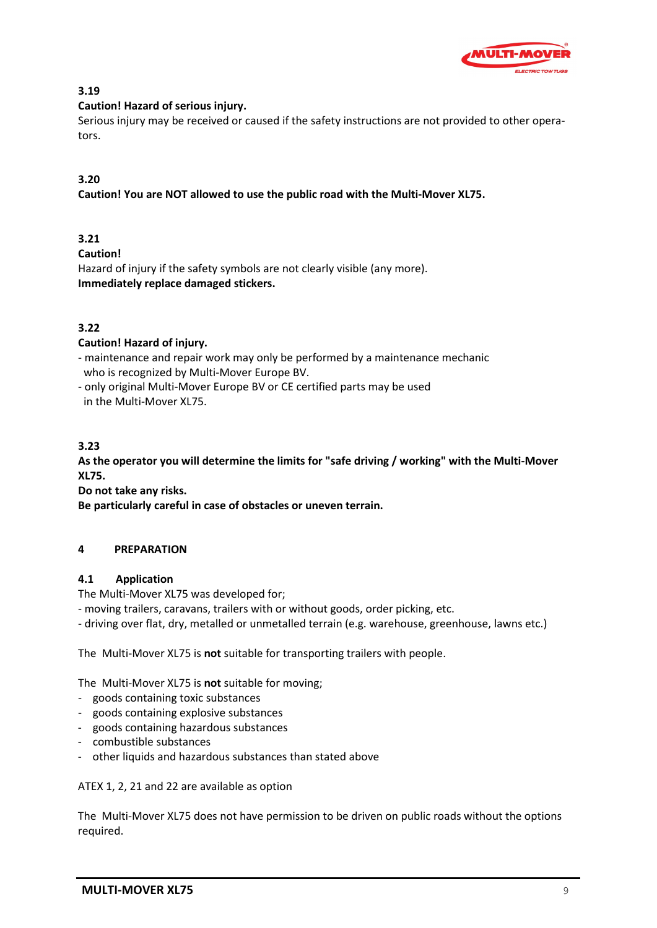

# **3.19**

# **Caution! Hazard of serious injury.**

Serious injury may be received or caused if the safety instructions are not provided to other operators.

# **3.20**

**Caution! You are NOT allowed to use the public road with the Multi-Mover XL75.**

# **3.21**

**Caution!** 

Hazard of injury if the safety symbols are not clearly visible (any more). **Immediately replace damaged stickers.**

# **3.22**

# **Caution! Hazard of injury.**

- maintenance and repair work may only be performed by a maintenance mechanic who is recognized by Multi-Mover Europe BV.
- only original Multi-Mover Europe BV or CE certified parts may be used in the Multi-Mover XL75.

# **3.23**

**As the operator you will determine the limits for "safe driving / working" with the Multi-Mover XL75.**

**Do not take any risks.**

**Be particularly careful in case of obstacles or uneven terrain.** 

# **4 PREPARATION**

# **4.1 Application**

The Multi-Mover XL75 was developed for;

- moving trailers, caravans, trailers with or without goods, order picking, etc.

- driving over flat, dry, metalled or unmetalled terrain (e.g. warehouse, greenhouse, lawns etc.)

The Multi-Mover XL75 is **not** suitable for transporting trailers with people.

The Multi-Mover XL75 is **not** suitable for moving;

- goods containing toxic substances
- goods containing explosive substances
- goods containing hazardous substances
- combustible substances
- other liquids and hazardous substances than stated above

ATEX 1, 2, 21 and 22 are available as option

The Multi-Mover XL75 does not have permission to be driven on public roads without the options required.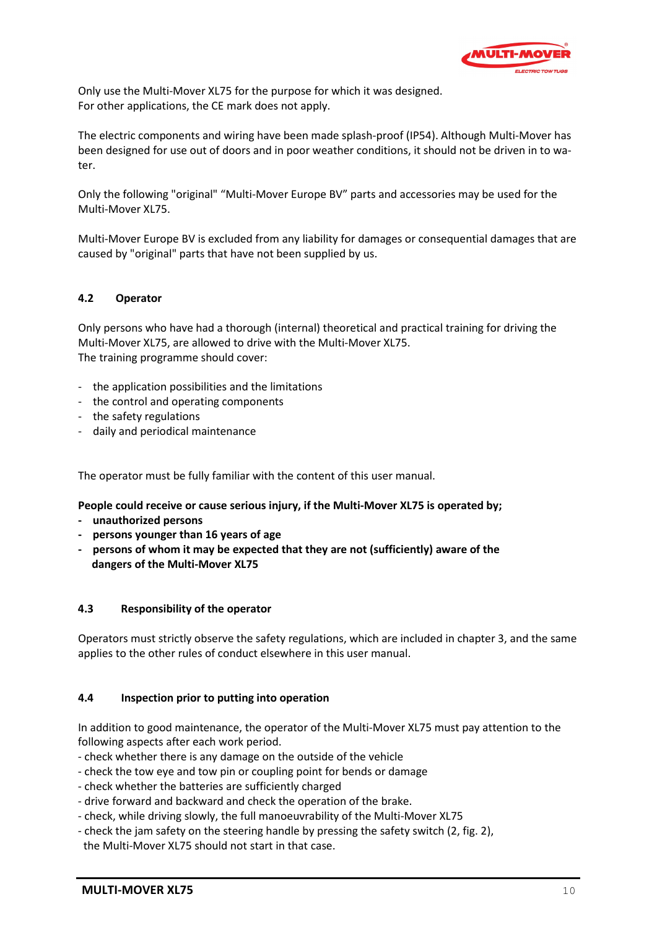

Only use the Multi-Mover XL75 for the purpose for which it was designed. For other applications, the CE mark does not apply.

The electric components and wiring have been made splash-proof (IP54). Although Multi-Mover has been designed for use out of doors and in poor weather conditions, it should not be driven in to water.

Only the following "original" "Multi-Mover Europe BV" parts and accessories may be used for the Multi-Mover XL75.

Multi-Mover Europe BV is excluded from any liability for damages or consequential damages that are caused by "original" parts that have not been supplied by us.

# **4.2 Operator**

Only persons who have had a thorough (internal) theoretical and practical training for driving the Multi-Mover XL75, are allowed to drive with the Multi-Mover XL75. The training programme should cover:

- the application possibilities and the limitations
- the control and operating components
- the safety regulations
- daily and periodical maintenance

The operator must be fully familiar with the content of this user manual.

**People could receive or cause serious injury, if the Multi-Mover XL75 is operated by;**

- **unauthorized persons**
- **persons younger than 16 years of age**
- **persons of whom it may be expected that they are not (sufficiently) aware of the dangers of the Multi-Mover XL75**

### **4.3 Responsibility of the operator**

Operators must strictly observe the safety regulations, which are included in chapter 3, and the same applies to the other rules of conduct elsewhere in this user manual.

## **4.4 Inspection prior to putting into operation**

In addition to good maintenance, the operator of the Multi-Mover XL75 must pay attention to the following aspects after each work period.

- check whether there is any damage on the outside of the vehicle
- check the tow eye and tow pin or coupling point for bends or damage
- check whether the batteries are sufficiently charged
- drive forward and backward and check the operation of the brake.
- check, while driving slowly, the full manoeuvrability of the Multi-Mover XL75
- check the jam safety on the steering handle by pressing the safety switch (2, fig. 2),
- the Multi-Mover XL75 should not start in that case.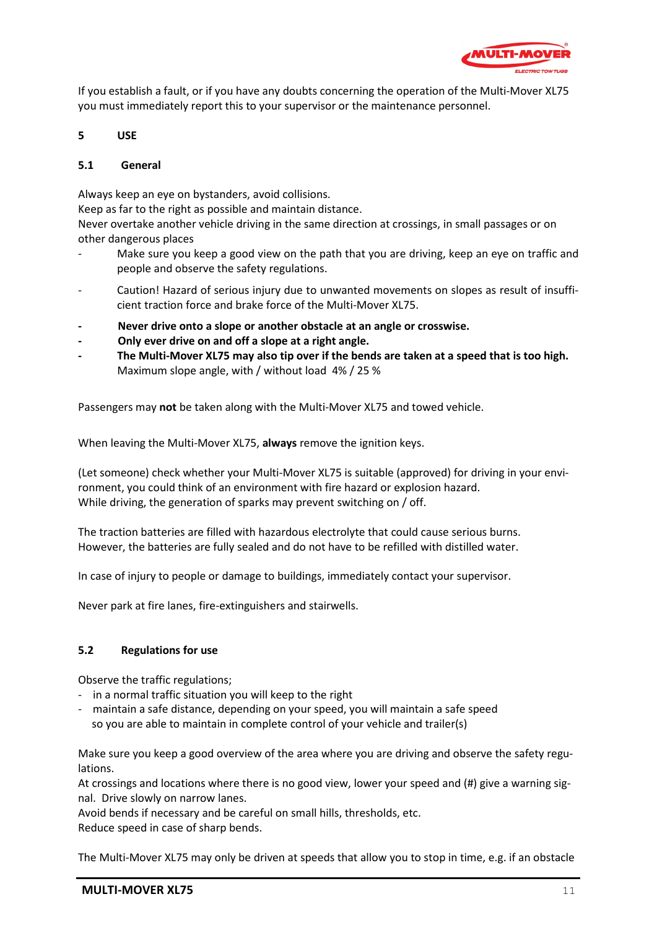

If you establish a fault, or if you have any doubts concerning the operation of the Multi-Mover XL75 you must immediately report this to your supervisor or the maintenance personnel.

**5 USE**

## **5.1 General**

Always keep an eye on bystanders, avoid collisions.

Keep as far to the right as possible and maintain distance.

Never overtake another vehicle driving in the same direction at crossings, in small passages or on other dangerous places

- Make sure you keep a good view on the path that you are driving, keep an eye on traffic and people and observe the safety regulations.
- Caution! Hazard of serious injury due to unwanted movements on slopes as result of insufficient traction force and brake force of the Multi-Mover XL75.
- **- Never drive onto a slope or another obstacle at an angle or crosswise.**
- **- Only ever drive on and off a slope at a right angle.**
- **- The Multi-Mover XL75 may also tip over if the bends are taken at a speed that is too high.** Maximum slope angle, with / without load 4% / 25 %

Passengers may **not** be taken along with the Multi-Mover XL75 and towed vehicle.

When leaving the Multi-Mover XL75, **always** remove the ignition keys.

(Let someone) check whether your Multi-Mover XL75 is suitable (approved) for driving in your environment, you could think of an environment with fire hazard or explosion hazard. While driving, the generation of sparks may prevent switching on / off.

The traction batteries are filled with hazardous electrolyte that could cause serious burns. However, the batteries are fully sealed and do not have to be refilled with distilled water.

In case of injury to people or damage to buildings, immediately contact your supervisor.

Never park at fire lanes, fire-extinguishers and stairwells.

### **5.2 Regulations for use**

Observe the traffic regulations;

- in a normal traffic situation you will keep to the right

- maintain a safe distance, depending on your speed, you will maintain a safe speed so you are able to maintain in complete control of your vehicle and trailer(s)

Make sure you keep a good overview of the area where you are driving and observe the safety regulations.

At crossings and locations where there is no good view, lower your speed and (#) give a warning signal. Drive slowly on narrow lanes.

Avoid bends if necessary and be careful on small hills, thresholds, etc. Reduce speed in case of sharp bends.

The Multi-Mover XL75 may only be driven at speeds that allow you to stop in time, e.g. if an obstacle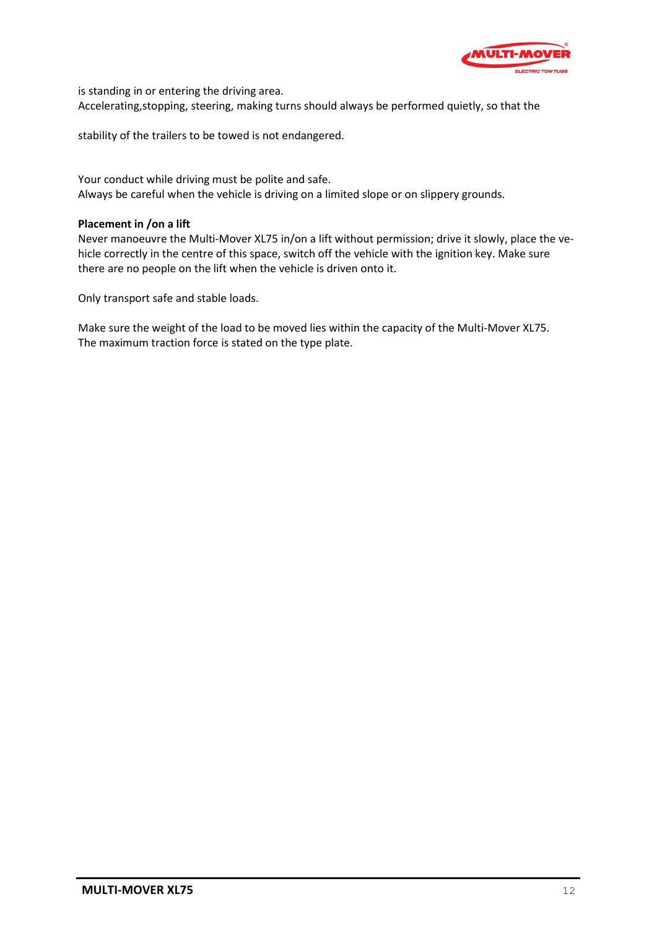![](_page_11_Picture_0.jpeg)

is standing in or entering the driving area. Accelerating,stopping, steering, making turns should always be performed quietly, so that the

stability of the trailers to be towed is not endangered.

Your conduct while driving must be polite and safe. Always be careful when the vehicle is driving on a limited slope or on slippery grounds.

## **Placement in /on a lift**

Never manoeuvre the Multi-Mover XL75 in/on a lift without permission; drive it slowly, place the vehicle correctly in the centre of this space, switch off the vehicle with the ignition key. Make sure there are no people on the lift when the vehicle is driven onto it.

Only transport safe and stable loads.

Make sure the weight of the load to be moved lies within the capacity of the Multi-Mover XL75. The maximum traction force is stated on the type plate.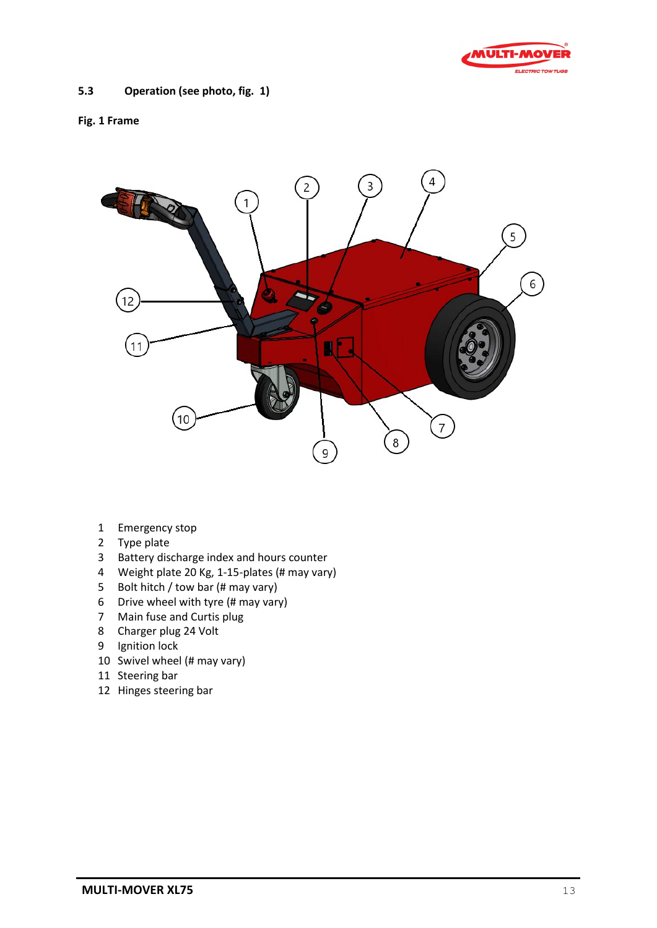![](_page_12_Picture_0.jpeg)

# **5.3 Operation (see photo, fig. 1)**

## **Fig. 1 Frame**

![](_page_12_Picture_3.jpeg)

- Emergency stop
- Type plate
- Battery discharge index and hours counter
- Weight plate 20 Kg, 1-15-plates (# may vary)
- Bolt hitch / tow bar (# may vary)
- Drive wheel with tyre (# may vary)
- Main fuse and Curtis plug
- Charger plug 24 Volt
- Ignition lock
- Swivel wheel (# may vary)
- Steering bar
- Hinges steering bar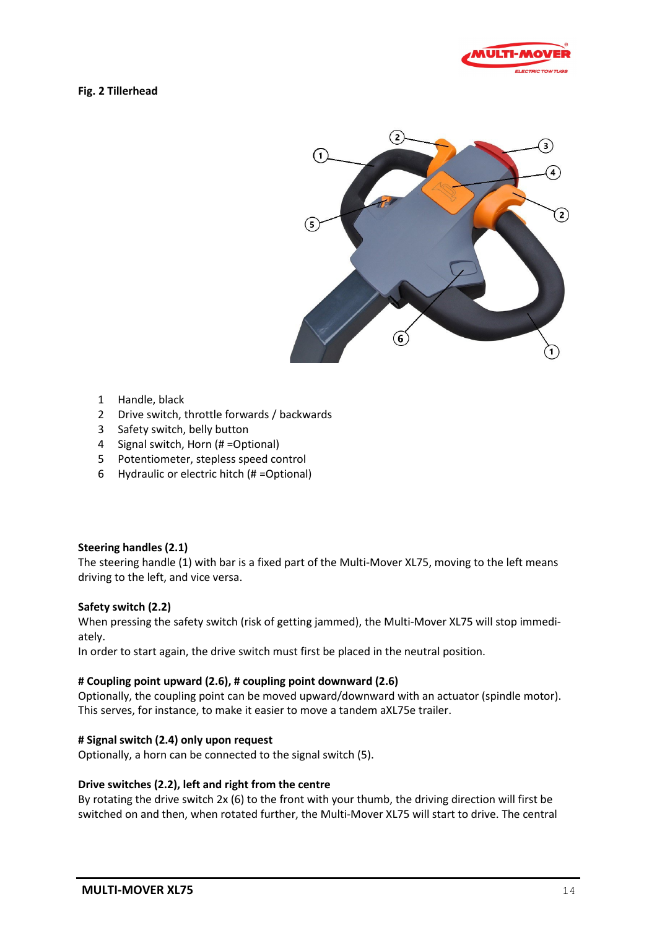![](_page_13_Picture_0.jpeg)

# **Fig. 2 Tillerhead**

![](_page_13_Figure_2.jpeg)

- 1 Handle, black
- 2 Drive switch, throttle forwards / backwards
- 3 Safety switch, belly button
- 4 Signal switch, Horn (# =Optional)
- 5 Potentiometer, stepless speed control
- 6 Hydraulic or electric hitch (# =Optional)

### **Steering handles (2.1)**

The steering handle (1) with bar is a fixed part of the Multi-Mover XL75, moving to the left means driving to the left, and vice versa.

### **Safety switch (2.2)**

When pressing the safety switch (risk of getting jammed), the Multi-Mover XL75 will stop immediately.

In order to start again, the drive switch must first be placed in the neutral position.

### **# Coupling point upward (2.6), # coupling point downward (2.6)**

Optionally, the coupling point can be moved upward/downward with an actuator (spindle motor). This serves, for instance, to make it easier to move a tandem aXL75e trailer.

### **# Signal switch (2.4) only upon request**

Optionally, a horn can be connected to the signal switch (5).

### **Drive switches (2.2), left and right from the centre**

By rotating the drive switch 2x (6) to the front with your thumb, the driving direction will first be switched on and then, when rotated further, the Multi-Mover XL75 will start to drive. The central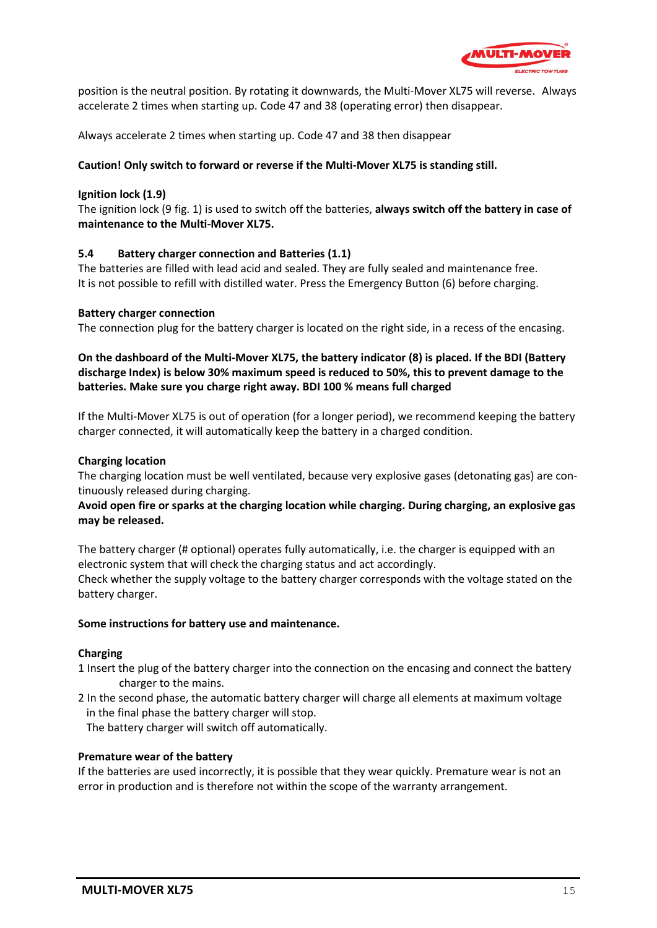![](_page_14_Picture_0.jpeg)

position is the neutral position. By rotating it downwards, the Multi-Mover XL75 will reverse. Always accelerate 2 times when starting up. Code 47 and 38 (operating error) then disappear.

Always accelerate 2 times when starting up. Code 47 and 38 then disappear

## **Caution! Only switch to forward or reverse if the Multi-Mover XL75 is standing still.**

## **Ignition lock (1.9)**

The ignition lock (9 fig. 1) is used to switch off the batteries, **always switch off the battery in case of maintenance to the Multi-Mover XL75.**

## **5.4 Battery charger connection and Batteries (1.1)**

The batteries are filled with lead acid and sealed. They are fully sealed and maintenance free. It is not possible to refill with distilled water. Press the Emergency Button (6) before charging.

### **Battery charger connection**

The connection plug for the battery charger is located on the right side, in a recess of the encasing.

## **On the dashboard of the Multi-Mover XL75, the battery indicator (8) is placed. If the BDI (Battery discharge Index) is below 30% maximum speed is reduced to 50%, this to prevent damage to the batteries. Make sure you charge right away. BDI 100 % means full charged**

If the Multi-Mover XL75 is out of operation (for a longer period), we recommend keeping the battery charger connected, it will automatically keep the battery in a charged condition.

### **Charging location**

The charging location must be well ventilated, because very explosive gases (detonating gas) are continuously released during charging.

## **Avoid open fire or sparks at the charging location while charging. During charging, an explosive gas may be released.**

The battery charger (# optional) operates fully automatically, i.e. the charger is equipped with an electronic system that will check the charging status and act accordingly.

Check whether the supply voltage to the battery charger corresponds with the voltage stated on the battery charger.

### **Some instructions for battery use and maintenance.**

### **Charging**

- 1 Insert the plug of the battery charger into the connection on the encasing and connect the battery charger to the mains.
- 2 In the second phase, the automatic battery charger will charge all elements at maximum voltage in the final phase the battery charger will stop.

The battery charger will switch off automatically.

### **Premature wear of the battery**

If the batteries are used incorrectly, it is possible that they wear quickly. Premature wear is not an error in production and is therefore not within the scope of the warranty arrangement.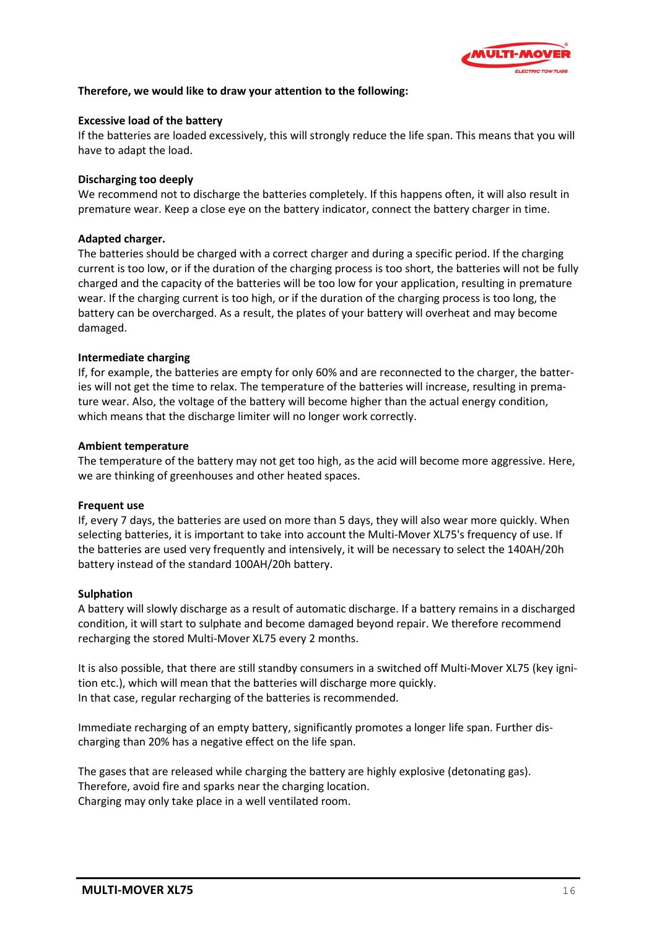![](_page_15_Picture_0.jpeg)

## **Therefore, we would like to draw your attention to the following:**

### **Excessive load of the battery**

If the batteries are loaded excessively, this will strongly reduce the life span. This means that you will have to adapt the load.

#### **Discharging too deeply**

We recommend not to discharge the batteries completely. If this happens often, it will also result in premature wear. Keep a close eye on the battery indicator, connect the battery charger in time.

#### **Adapted charger.**

The batteries should be charged with a correct charger and during a specific period. If the charging current is too low, or if the duration of the charging process is too short, the batteries will not be fully charged and the capacity of the batteries will be too low for your application, resulting in premature wear. If the charging current is too high, or if the duration of the charging process is too long, the battery can be overcharged. As a result, the plates of your battery will overheat and may become damaged.

#### **Intermediate charging**

If, for example, the batteries are empty for only 60% and are reconnected to the charger, the batteries will not get the time to relax. The temperature of the batteries will increase, resulting in premature wear. Also, the voltage of the battery will become higher than the actual energy condition, which means that the discharge limiter will no longer work correctly.

#### **Ambient temperature**

The temperature of the battery may not get too high, as the acid will become more aggressive. Here, we are thinking of greenhouses and other heated spaces.

#### **Frequent use**

If, every 7 days, the batteries are used on more than 5 days, they will also wear more quickly. When selecting batteries, it is important to take into account the Multi-Mover XL75's frequency of use. If the batteries are used very frequently and intensively, it will be necessary to select the 140AH/20h battery instead of the standard 100AH/20h battery.

#### **Sulphation**

A battery will slowly discharge as a result of automatic discharge. If a battery remains in a discharged condition, it will start to sulphate and become damaged beyond repair. We therefore recommend recharging the stored Multi-Mover XL75 every 2 months.

It is also possible, that there are still standby consumers in a switched off Multi-Mover XL75 (key ignition etc.), which will mean that the batteries will discharge more quickly. In that case, regular recharging of the batteries is recommended.

Immediate recharging of an empty battery, significantly promotes a longer life span. Further discharging than 20% has a negative effect on the life span.

The gases that are released while charging the battery are highly explosive (detonating gas). Therefore, avoid fire and sparks near the charging location. Charging may only take place in a well ventilated room.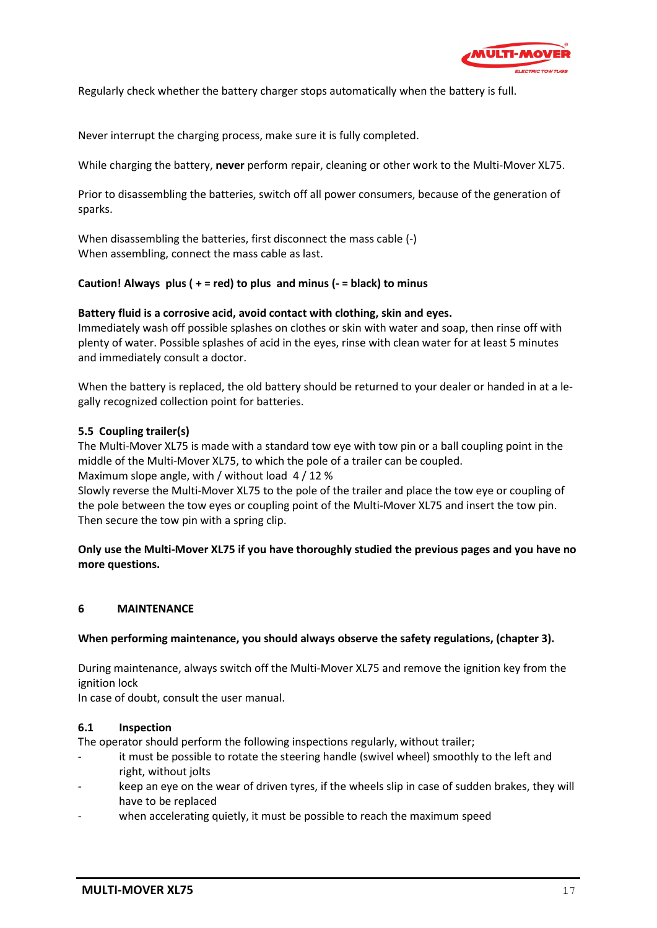![](_page_16_Picture_0.jpeg)

Regularly check whether the battery charger stops automatically when the battery is full.

Never interrupt the charging process, make sure it is fully completed.

While charging the battery, **never** perform repair, cleaning or other work to the Multi-Mover XL75.

Prior to disassembling the batteries, switch off all power consumers, because of the generation of sparks.

When disassembling the batteries, first disconnect the mass cable (-) When assembling, connect the mass cable as last.

## **Caution! Always plus ( + = red) to plus and minus (- = black) to minus**

### **Battery fluid is a corrosive acid, avoid contact with clothing, skin and eyes.**

Immediately wash off possible splashes on clothes or skin with water and soap, then rinse off with plenty of water. Possible splashes of acid in the eyes, rinse with clean water for at least 5 minutes and immediately consult a doctor.

When the battery is replaced, the old battery should be returned to your dealer or handed in at a legally recognized collection point for batteries.

## **5.5 Coupling trailer(s)**

The Multi-Mover XL75 is made with a standard tow eye with tow pin or a ball coupling point in the middle of the Multi-Mover XL75, to which the pole of a trailer can be coupled. Maximum slope angle, with / without load 4 / 12 %

Slowly reverse the Multi-Mover XL75 to the pole of the trailer and place the tow eye or coupling of the pole between the tow eyes or coupling point of the Multi-Mover XL75 and insert the tow pin. Then secure the tow pin with a spring clip.

**Only use the Multi-Mover XL75 if you have thoroughly studied the previous pages and you have no more questions.**

### **6 MAINTENANCE**

### **When performing maintenance, you should always observe the safety regulations, (chapter 3).**

During maintenance, always switch off the Multi-Mover XL75 and remove the ignition key from the ignition lock

In case of doubt, consult the user manual.

### **6.1 Inspection**

The operator should perform the following inspections regularly, without trailer;

- it must be possible to rotate the steering handle (swivel wheel) smoothly to the left and right, without jolts
- keep an eye on the wear of driven tyres, if the wheels slip in case of sudden brakes, they will have to be replaced
- when accelerating quietly, it must be possible to reach the maximum speed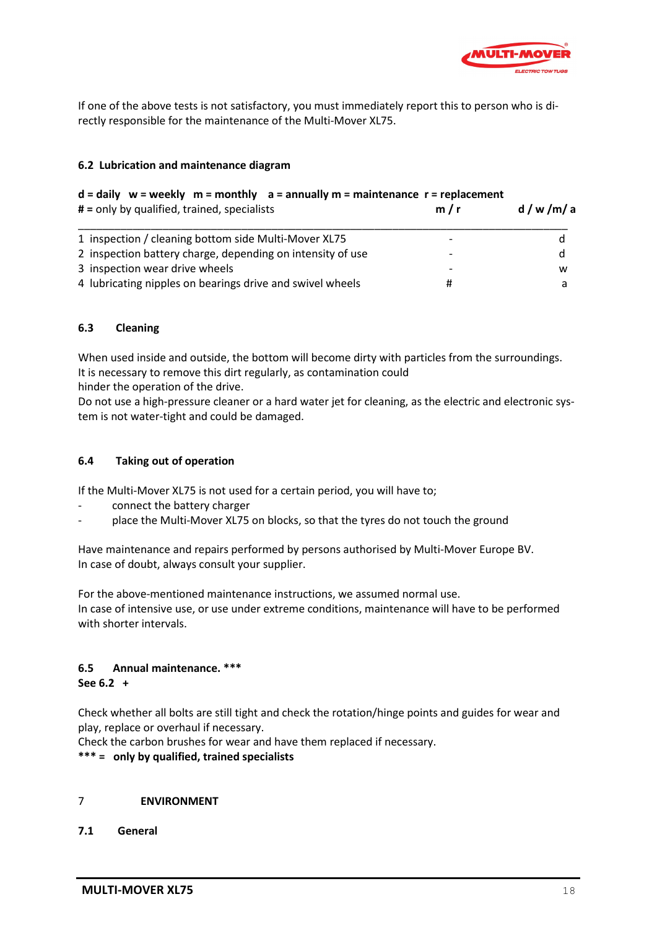![](_page_17_Picture_0.jpeg)

If one of the above tests is not satisfactory, you must immediately report this to person who is directly responsible for the maintenance of the Multi-Mover XL75.

## **6.2 Lubrication and maintenance diagram**

## **d = daily w = weekly m = monthly a = annually m = maintenance r = replacement**

| # = only by qualified, trained, specialists                | m/r | d/w/m/a |  |
|------------------------------------------------------------|-----|---------|--|
| 1 inspection / cleaning bottom side Multi-Mover XL75       |     |         |  |
| 2 inspection battery charge, depending on intensity of use |     |         |  |
| 3 inspection wear drive wheels                             |     | w       |  |
| 4 lubricating nipples on bearings drive and swivel wheels  |     |         |  |

## **6.3 Cleaning**

When used inside and outside, the bottom will become dirty with particles from the surroundings. It is necessary to remove this dirt regularly, as contamination could

hinder the operation of the drive.

Do not use a high-pressure cleaner or a hard water jet for cleaning, as the electric and electronic system is not water-tight and could be damaged.

## **6.4 Taking out of operation**

If the Multi-Mover XL75 is not used for a certain period, you will have to;

- connect the battery charger
- place the Multi-Mover XL75 on blocks, so that the tyres do not touch the ground

Have maintenance and repairs performed by persons authorised by Multi-Mover Europe BV. In case of doubt, always consult your supplier.

For the above-mentioned maintenance instructions, we assumed normal use. In case of intensive use, or use under extreme conditions, maintenance will have to be performed with shorter intervals.

# **6.5 Annual maintenance. \*\*\***

### **See 6.2 +**

Check whether all bolts are still tight and check the rotation/hinge points and guides for wear and play, replace or overhaul if necessary.

Check the carbon brushes for wear and have them replaced if necessary.

**\*\*\* = only by qualified, trained specialists**

## 7 **ENVIRONMENT**

**7.1 General**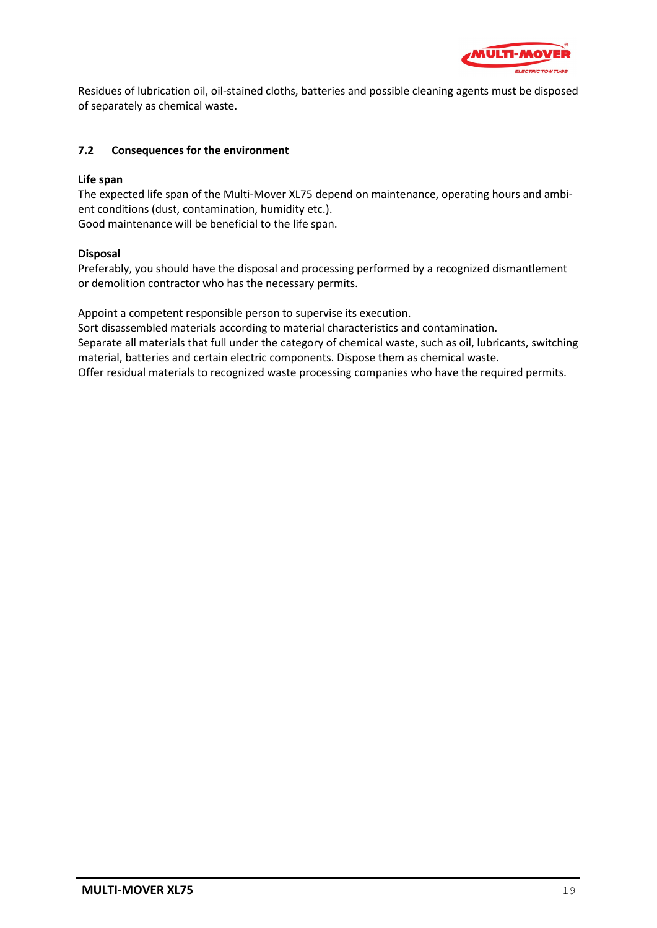![](_page_18_Picture_0.jpeg)

Residues of lubrication oil, oil-stained cloths, batteries and possible cleaning agents must be disposed of separately as chemical waste.

## **7.2 Consequences for the environment**

## **Life span**

The expected life span of the Multi-Mover XL75 depend on maintenance, operating hours and ambient conditions (dust, contamination, humidity etc.). Good maintenance will be beneficial to the life span.

## **Disposal**

Preferably, you should have the disposal and processing performed by a recognized dismantlement or demolition contractor who has the necessary permits.

Appoint a competent responsible person to supervise its execution.

Sort disassembled materials according to material characteristics and contamination. Separate all materials that full under the category of chemical waste, such as oil, lubricants, switching material, batteries and certain electric components. Dispose them as chemical waste. Offer residual materials to recognized waste processing companies who have the required permits.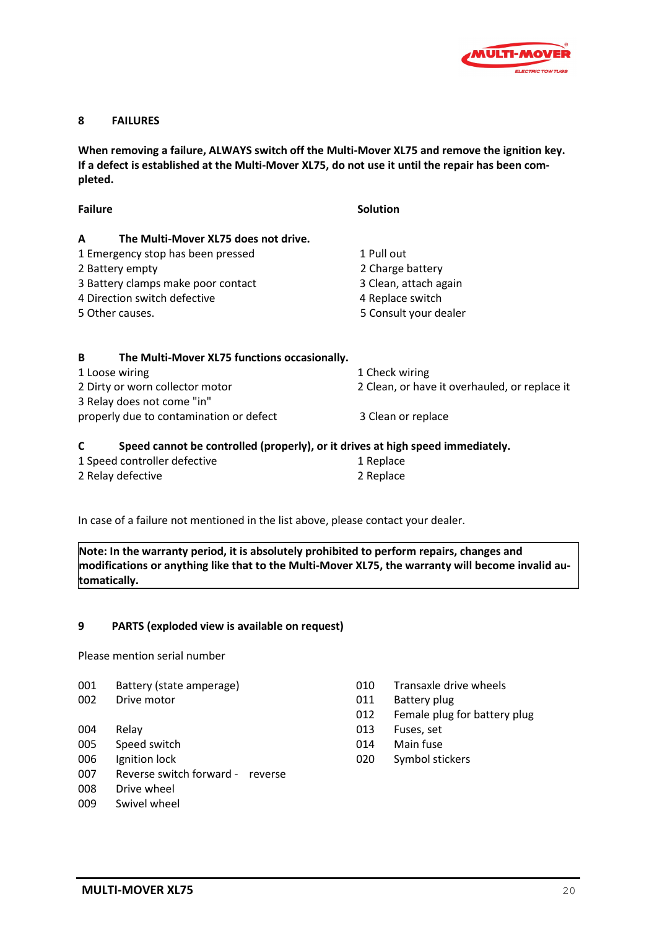![](_page_19_Picture_0.jpeg)

### **8 FAILURES**

**When removing a failure, ALWAYS switch off the Multi-Mover XL75 and remove the ignition key. If a defect is established at the Multi-Mover XL75, do not use it until the repair has been completed.**

| <b>Failure</b>                                                                      | <b>Solution</b>                               |
|-------------------------------------------------------------------------------------|-----------------------------------------------|
| The Multi-Mover XL75 does not drive.<br>A                                           |                                               |
| 1 Emergency stop has been pressed                                                   | 1 Pull out                                    |
| 2 Battery empty                                                                     | 2 Charge battery                              |
| 3 Battery clamps make poor contact                                                  | 3 Clean, attach again                         |
| 4 Direction switch defective                                                        | 4 Replace switch                              |
| 5 Other causes.                                                                     | 5 Consult your dealer                         |
| The Multi-Mover XL75 functions occasionally.<br>B<br>1 Loose wiring                 | 1 Check wiring                                |
| 2 Dirty or worn collector motor                                                     | 2 Clean, or have it overhauled, or replace it |
| 3 Relay does not come "in"                                                          |                                               |
| properly due to contamination or defect                                             | 3 Clean or replace                            |
| Speed cannot be controlled (properly), or it drives at high speed immediately.<br>C |                                               |
| 1 Speed controller defective                                                        | 1 Replace                                     |
| 2 Relay defective                                                                   | 2 Replace                                     |

In case of a failure not mentioned in the list above, please contact your dealer.

**Note: In the warranty period, it is absolutely prohibited to perform repairs, changes and modifications or anything like that to the Multi-Mover XL75, the warranty will become invalid automatically.**

### **9 PARTS (exploded view is available on request)**

Please mention serial number

- 001 Battery (state amperage) 100 Transaxle drive wheels
- 
- 
- 
- 
- 007 Reverse switch forward reverse
- 008 Drive wheel
- 009 Swivel wheel
- 
- 002 Drive motor **011 Battery plug** 
	- 012 Female plug for battery plug
- 004 Relay 013 Fuses, set
- 005 Speed switch **014** Main fuse
- 006 Ignition lock 020 Symbol stickers